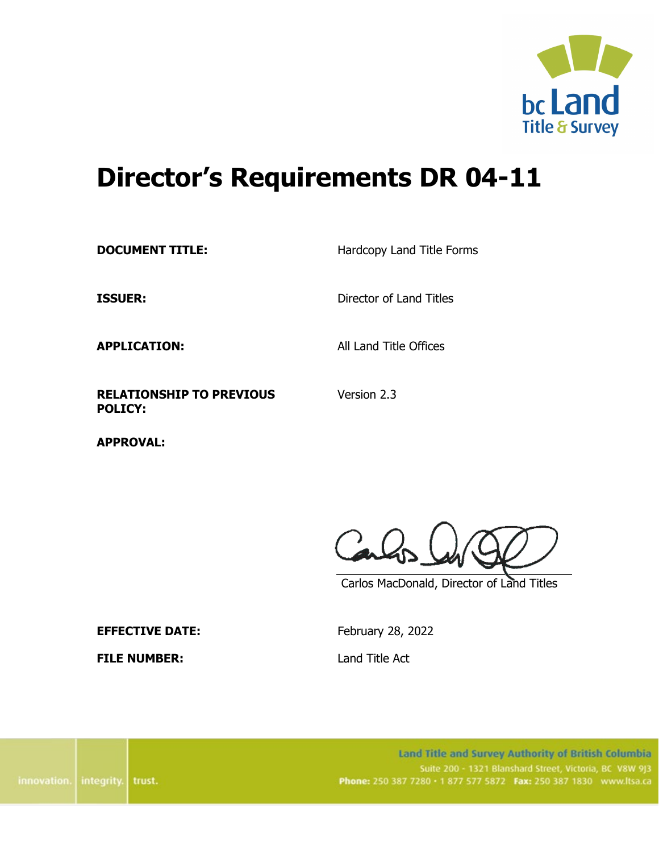

# **Director's Requirements DR 04-11**

**DOCUMENT TITLE:** Hardcopy Land Title Forms

**ISSUER:** Director of Land Titles

**APPLICATION:** All Land Title Offices

Version 2.3

**RELATIONSHIP TO PREVIOUS POLICY:**

**APPROVAL:**

Carlos MacDonald, Director of Land Titles

**EFFECTIVE DATE:** February 28, 2022

**FILE NUMBER:** Land Title Act

Land Title and Survey Authority of British Columbia Suite 200 - 1321 Blanshard Street, Victoria, BC V8W 9J3 Phone: 250 387 7280 · 1 877 577 5872 Fax: 250 387 1830 www.ltsa.ca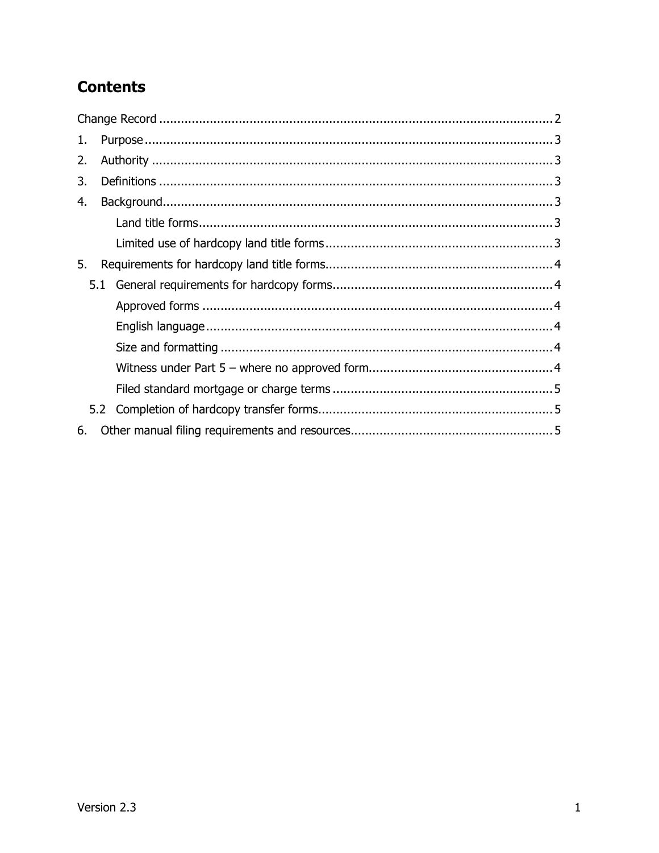# **Contents**

| 1. |     |  |  |  |  |  |  |
|----|-----|--|--|--|--|--|--|
| 2. |     |  |  |  |  |  |  |
| 3. |     |  |  |  |  |  |  |
| 4. |     |  |  |  |  |  |  |
|    |     |  |  |  |  |  |  |
|    |     |  |  |  |  |  |  |
| 5. |     |  |  |  |  |  |  |
|    | 5.1 |  |  |  |  |  |  |
|    |     |  |  |  |  |  |  |
|    |     |  |  |  |  |  |  |
|    |     |  |  |  |  |  |  |
|    |     |  |  |  |  |  |  |
|    |     |  |  |  |  |  |  |
|    | 5.2 |  |  |  |  |  |  |
| 6. |     |  |  |  |  |  |  |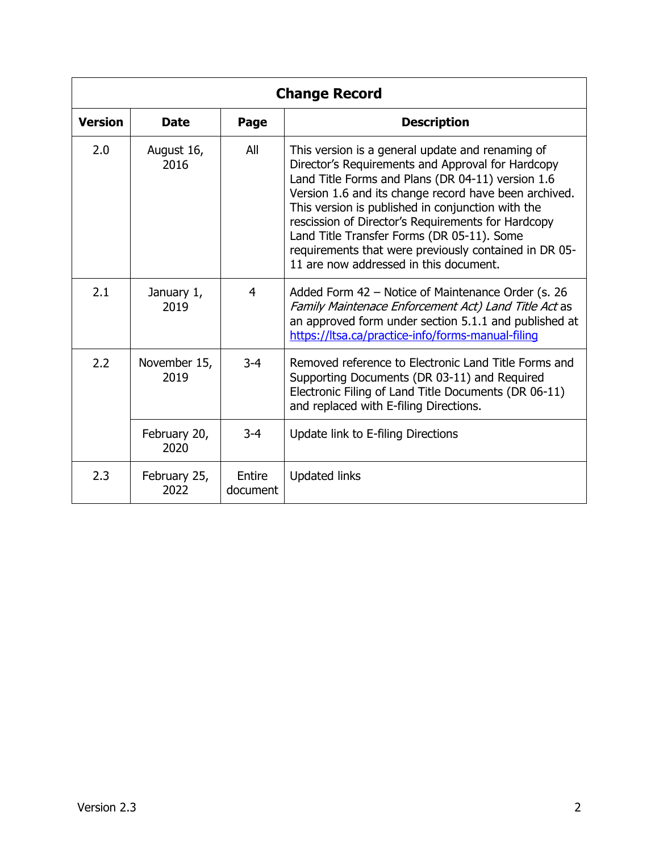<span id="page-2-0"></span>

| <b>Change Record</b> |                      |                    |                                                                                                                                                                                                                                                                                                                                                                                                                                                                                 |  |  |  |  |  |  |
|----------------------|----------------------|--------------------|---------------------------------------------------------------------------------------------------------------------------------------------------------------------------------------------------------------------------------------------------------------------------------------------------------------------------------------------------------------------------------------------------------------------------------------------------------------------------------|--|--|--|--|--|--|
| <b>Version</b>       | <b>Date</b>          | Page               | <b>Description</b>                                                                                                                                                                                                                                                                                                                                                                                                                                                              |  |  |  |  |  |  |
| 2.0                  | August 16,<br>2016   | All                | This version is a general update and renaming of<br>Director's Requirements and Approval for Hardcopy<br>Land Title Forms and Plans (DR 04-11) version 1.6<br>Version 1.6 and its change record have been archived.<br>This version is published in conjunction with the<br>rescission of Director's Requirements for Hardcopy<br>Land Title Transfer Forms (DR 05-11). Some<br>requirements that were previously contained in DR 05-<br>11 are now addressed in this document. |  |  |  |  |  |  |
| 2.1                  | January 1,<br>2019   | 4                  | Added Form 42 - Notice of Maintenance Order (s. 26<br>Family Maintenace Enforcement Act) Land Title Act as<br>an approved form under section 5.1.1 and published at<br>https://ltsa.ca/practice-info/forms-manual-filing                                                                                                                                                                                                                                                        |  |  |  |  |  |  |
| 2.2                  | November 15,<br>2019 | $3 - 4$            | Removed reference to Electronic Land Title Forms and<br>Supporting Documents (DR 03-11) and Required<br>Electronic Filing of Land Title Documents (DR 06-11)<br>and replaced with E-filing Directions.                                                                                                                                                                                                                                                                          |  |  |  |  |  |  |
|                      | February 20,<br>2020 | $3 - 4$            | Update link to E-filing Directions                                                                                                                                                                                                                                                                                                                                                                                                                                              |  |  |  |  |  |  |
| 2.3                  | February 25,<br>2022 | Entire<br>document | <b>Updated links</b>                                                                                                                                                                                                                                                                                                                                                                                                                                                            |  |  |  |  |  |  |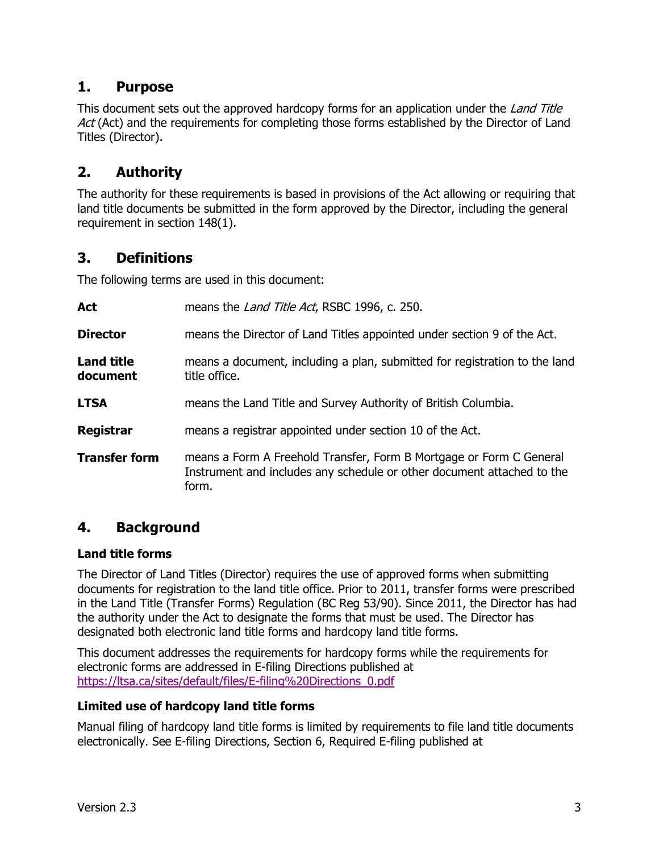# <span id="page-3-0"></span>**1. Purpose**

This document sets out the approved hardcopy forms for an application under the *Land Title* Act (Act) and the requirements for completing those forms established by the Director of Land Titles (Director).

# <span id="page-3-1"></span>**2. Authority**

The authority for these requirements is based in provisions of the Act allowing or requiring that land title documents be submitted in the form approved by the Director, including the general requirement in section 148(1).

### <span id="page-3-2"></span>**3. Definitions**

The following terms are used in this document:

| <b>Act</b>                    | means the Land Title Act, RSBC 1996, c. 250.                                                                                                           |  |  |  |  |  |
|-------------------------------|--------------------------------------------------------------------------------------------------------------------------------------------------------|--|--|--|--|--|
| <b>Director</b>               | means the Director of Land Titles appointed under section 9 of the Act.                                                                                |  |  |  |  |  |
| <b>Land title</b><br>document | means a document, including a plan, submitted for registration to the land<br>title office.                                                            |  |  |  |  |  |
| <b>LTSA</b>                   | means the Land Title and Survey Authority of British Columbia.                                                                                         |  |  |  |  |  |
| <b>Registrar</b>              | means a registrar appointed under section 10 of the Act.                                                                                               |  |  |  |  |  |
| <b>Transfer form</b>          | means a Form A Freehold Transfer, Form B Mortgage or Form C General<br>Instrument and includes any schedule or other document attached to the<br>form. |  |  |  |  |  |

# <span id="page-3-3"></span>**4. Background**

#### <span id="page-3-4"></span>**Land title forms**

The Director of Land Titles (Director) requires the use of approved forms when submitting documents for registration to the land title office. Prior to 2011, transfer forms were prescribed in the Land Title (Transfer Forms) Regulation (BC Reg 53/90). Since 2011, the Director has had the authority under the Act to designate the forms that must be used. The Director has designated both electronic land title forms and hardcopy land title forms.

This document addresses the requirements for hardcopy forms while the requirements for electronic forms are addressed in E-filing Directions published at [https://ltsa.ca/sites/default/files/E-filing%20Directions\\_0.pdf](https://ltsa.ca/sites/default/files/E-filing%20Directions_0.pdf)

#### <span id="page-3-5"></span>**Limited use of hardcopy land title forms**

Manual filing of hardcopy land title forms is limited by requirements to file land title documents electronically. See E-filing Directions, Section 6, Required E-filing published at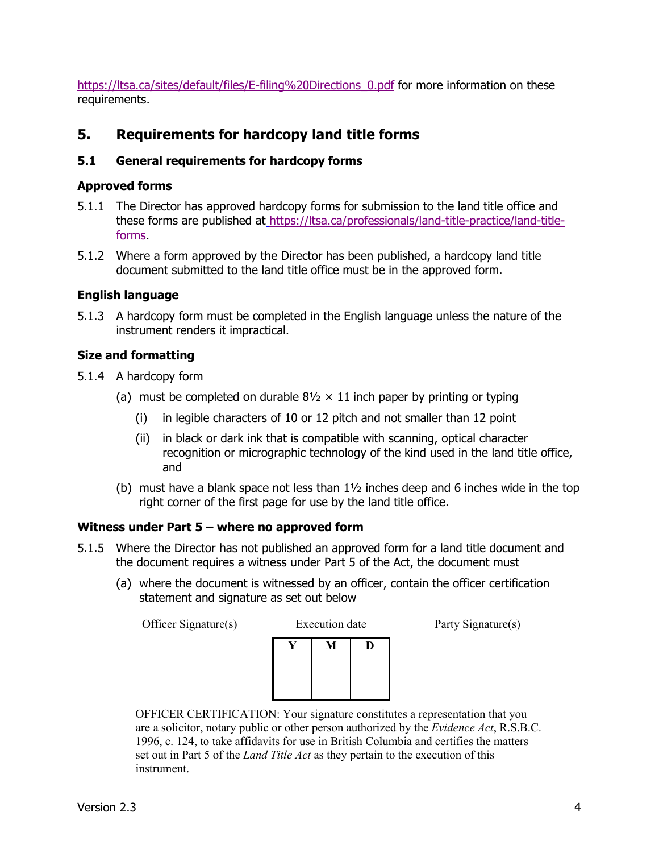[https://ltsa.ca/sites/default/files/E-filing%20Directions\\_0.pdf](https://ltsa.ca/sites/default/files/E-filing%20Directions_0.pdf) for more information on these requirements.

# <span id="page-4-0"></span>**5. Requirements for hardcopy land title forms**

#### <span id="page-4-1"></span>**5.1 General requirements for hardcopy forms**

#### <span id="page-4-2"></span>**Approved forms**

- 5.1.1 The Director has approved hardcopy forms for submission to the land title office and these forms are published at [https://ltsa.ca/professionals/land-title-practice/land-title](https://ltsa.ca/professionals/land-title-practice/land-title-forms)[forms.](https://ltsa.ca/professionals/land-title-practice/land-title-forms)
- 5.1.2 Where a form approved by the Director has been published, a hardcopy land title document submitted to the land title office must be in the approved form.

#### <span id="page-4-3"></span>**English language**

5.1.3 A hardcopy form must be completed in the English language unless the nature of the instrument renders it impractical.

#### <span id="page-4-4"></span>**Size and formatting**

- 5.1.4 A hardcopy form
	- (a) must be completed on durable  $8\frac{1}{2} \times 11$  inch paper by printing or typing
		- (i) in legible characters of 10 or 12 pitch and not smaller than 12 point
		- (ii) in black or dark ink that is compatible with scanning, optical character recognition or micrographic technology of the kind used in the land title office, and
	- (b) must have a blank space not less than 1½ inches deep and 6 inches wide in the top right corner of the first page for use by the land title office.

#### <span id="page-4-5"></span>**Witness under Part 5 – where no approved form**

- 5.1.5 Where the Director has not published an approved form for a land title document and the document requires a witness under Part 5 of the Act, the document must
	- (a) where the document is witnessed by an officer, contain the officer certification statement and signature as set out below

| Officer Signature(s) | <b>Execution</b> date | Party Signature(s) |
|----------------------|-----------------------|--------------------|
|                      | M                     |                    |
|                      |                       |                    |

OFFICER CERTIFICATION: Your signature constitutes a representation that you are a solicitor, notary public or other person authorized by the *Evidence Act*, R.S.B.C. 1996, c. 124, to take affidavits for use in British Columbia and certifies the matters set out in Part 5 of the *Land Title Act* as they pertain to the execution of this instrument.